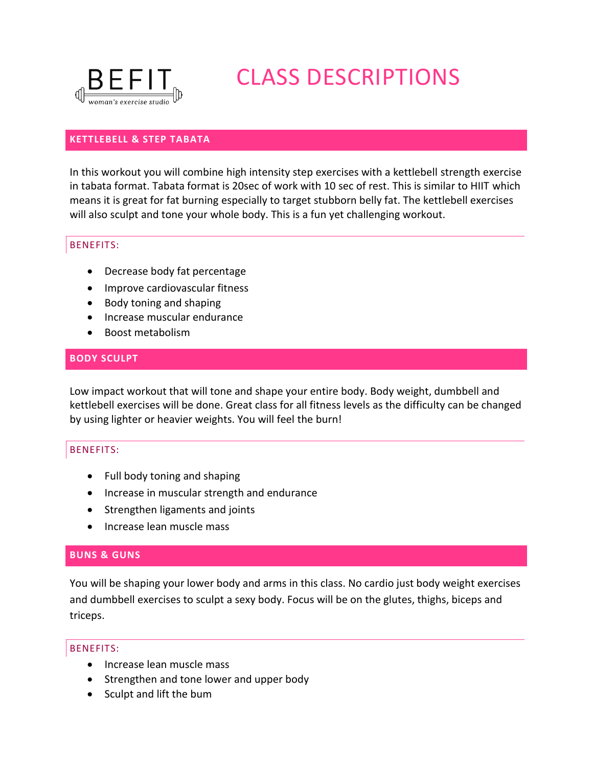

# CLASS DESCRIPTIONS

# **KETTLEBELL & STEP TABATA**

In this workout you will combine high intensity step exercises with a kettlebell strength exercise in tabata format. Tabata format is 20sec of work with 10 sec of rest. This is similar to HIIT which means it is great for fat burning especially to target stubborn belly fat. The kettlebell exercises will also sculpt and tone your whole body. This is a fun yet challenging workout.

# BENEFITS:

- Decrease body fat percentage
- Improve cardiovascular fitness
- Body toning and shaping
- Increase muscular endurance
- Boost metabolism

# **BODY SCULPT**

Low impact workout that will tone and shape your entire body. Body weight, dumbbell and kettlebell exercises will be done. Great class for all fitness levels as the difficulty can be changed by using lighter or heavier weights. You will feel the burn!

# BENEFITS:

- Full body toning and shaping
- Increase in muscular strength and endurance
- Strengthen ligaments and joints
- **.** Increase lean muscle mass

# **BUNS & GUNS**

You will be shaping your lower body and arms in this class. No cardio just body weight exercises and dumbbell exercises to sculpt a sexy body. Focus will be on the glutes, thighs, biceps and triceps.

- Increase lean muscle mass
- Strengthen and tone lower and upper body
- Sculpt and lift the bum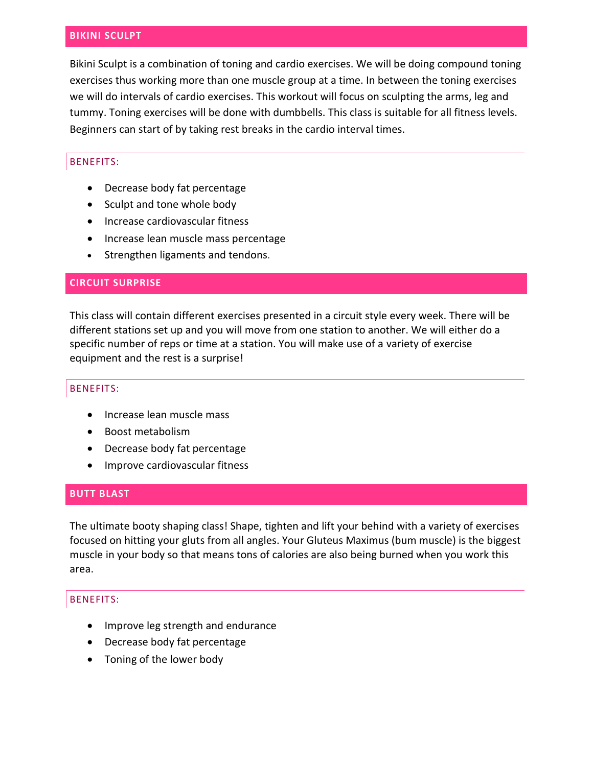## **BIKINI SCULPT**

Bikini Sculpt is a combination of toning and cardio exercises. We will be doing compound toning exercises thus working more than one muscle group at a time. In between the toning exercises we will do intervals of cardio exercises. This workout will focus on sculpting the arms, leg and tummy. Toning exercises will be done with dumbbells. This class is suitable for all fitness levels. Beginners can start of by taking rest breaks in the cardio interval times.

# BENEFITS:

- Decrease body fat percentage
- Sculpt and tone whole body
- Increase cardiovascular fitness
- Increase lean muscle mass percentage
- Strengthen ligaments and tendons.

# **CIRCUIT SURPRISE**

This class will contain different exercises presented in a circuit style every week. There will be different stations set up and you will move from one station to another. We will either do a specific number of reps or time at a station. You will make use of a variety of exercise equipment and the rest is a surprise!

#### BENEFITS:

- Increase lean muscle mass
- Boost metabolism
- Decrease body fat percentage
- Improve cardiovascular fitness

# **BUTT BLAST**

The ultimate booty shaping class! Shape, tighten and lift your behind with a variety of exercises focused on hitting your gluts from all angles. Your Gluteus Maximus (bum muscle) is the biggest muscle in your body so that means tons of calories are also being burned when you work this area.

- Improve leg strength and endurance
- Decrease body fat percentage
- Toning of the lower body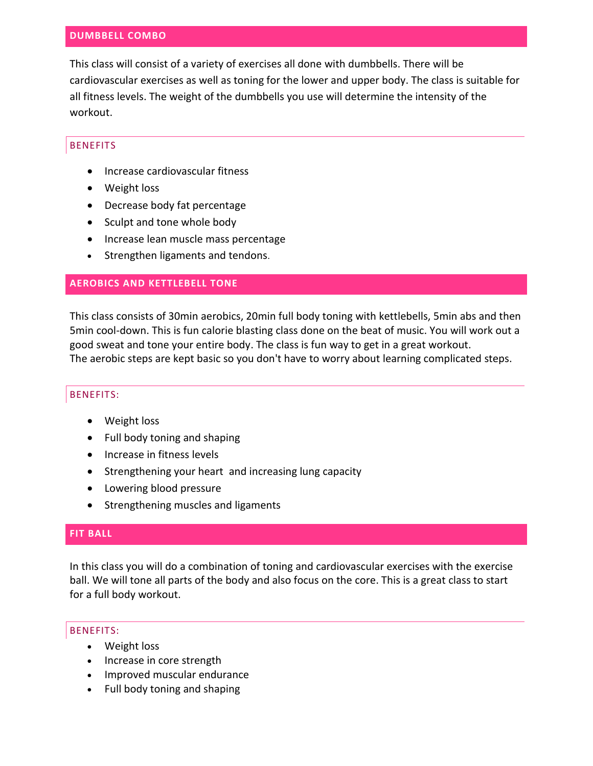# **DUMBBELL COMBO**

This class will consist of a variety of exercises all done with dumbbells. There will be cardiovascular exercises as well as toning for the lower and upper body. The class is suitable for all fitness levels. The weight of the dumbbells you use will determine the intensity of the workout.

# BENEFITS

- Increase cardiovascular fitness
- Weight loss
- Decrease body fat percentage
- Sculpt and tone whole body
- Increase lean muscle mass percentage
- Strengthen ligaments and tendons.

# **AEROBICS AND KETTLEBELL TONE**

This class consists of 30min aerobics, 20min full body toning with kettlebells, 5min abs and then 5min cool-down. This is fun calorie blasting class done on the beat of music. You will work out a good sweat and tone your entire body. The class is fun way to get in a great workout. The aerobic steps are kept basic so you don't have to worry about learning complicated steps.

# BENEFITS:

- Weight loss
- Full body toning and shaping
- Increase in fitness levels
- Strengthening your heart and increasing lung capacity
- Lowering blood pressure
- Strengthening muscles and ligaments

# **FIT BALL**

In this class you will do a combination of toning and cardiovascular exercises with the exercise ball. We will tone all parts of the body and also focus on the core. This is a great class to start for a full body workout.

- Weight loss
- Increase in core strength
- Improved muscular endurance
- Full body toning and shaping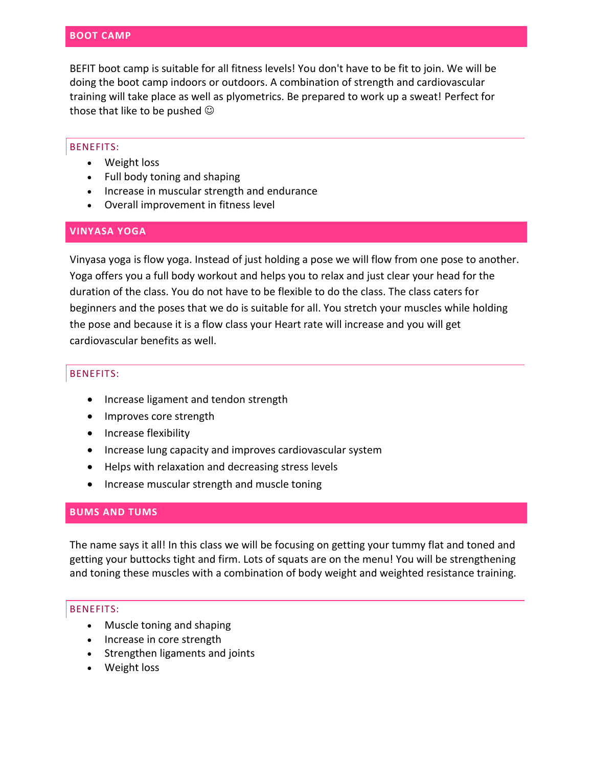BEFIT boot camp is suitable for all fitness levels! You don't have to be fit to join. We will be doing the boot camp indoors or outdoors. A combination of strength and cardiovascular training will take place as well as plyometrics. Be prepared to work up a sweat! Perfect for those that like to be pushed  $\odot$ 

## BENEFITS:

- Weight loss
- Full body toning and shaping
- Increase in muscular strength and endurance
- Overall improvement in fitness level

# **VINYASA YOGA**

Vinyasa yoga is flow yoga. Instead of just holding a pose we will flow from one pose to another. Yoga offers you a full body workout and helps you to relax and just clear your head for the duration of the class. You do not have to be flexible to do the class. The class caters for beginners and the poses that we do is suitable for all. You stretch your muscles while holding the pose and because it is a flow class your Heart rate will increase and you will get cardiovascular benefits as well.

# BENEFITS:

- Increase ligament and tendon strength
- Improves core strength
- Increase flexibility
- Increase lung capacity and improves cardiovascular system
- Helps with relaxation and decreasing stress levels
- Increase muscular strength and muscle toning

# **BUMS AND TUMS**

The name says it all! In this class we will be focusing on getting your tummy flat and toned and getting your buttocks tight and firm. Lots of squats are on the menu! You will be strengthening and toning these muscles with a combination of body weight and weighted resistance training.

- Muscle toning and shaping
- Increase in core strength
- Strengthen ligaments and joints
- Weight loss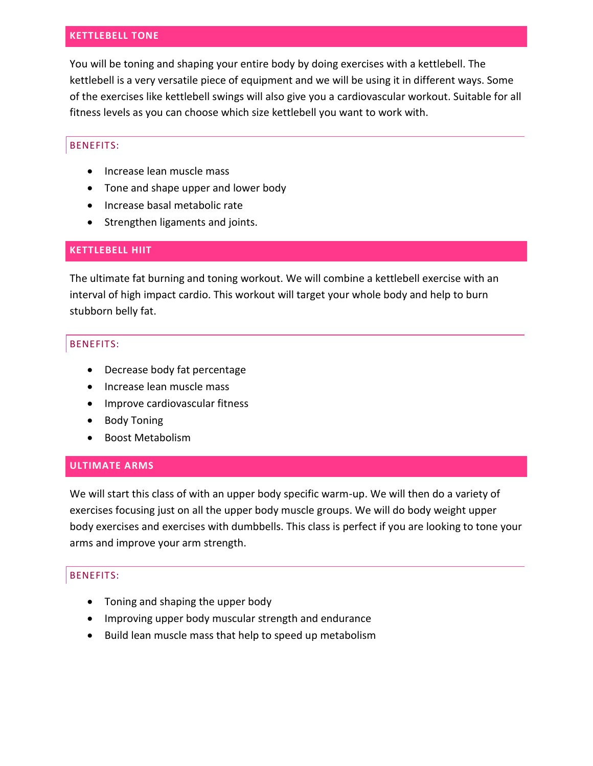# **KETTLEBELL TONE**

You will be toning and shaping your entire body by doing exercises with a kettlebell. The kettlebell is a very versatile piece of equipment and we will be using it in different ways. Some of the exercises like kettlebell swings will also give you a cardiovascular workout. Suitable for all fitness levels as you can choose which size kettlebell you want to work with.

# BENEFITS:

- Increase lean muscle mass
- Tone and shape upper and lower body
- Increase basal metabolic rate
- Strengthen ligaments and joints.

# **KETTLEBELL HIIT**

The ultimate fat burning and toning workout. We will combine a kettlebell exercise with an interval of high impact cardio. This workout will target your whole body and help to burn stubborn belly fat.

# BENEFITS:

- Decrease body fat percentage
- Increase lean muscle mass
- Improve cardiovascular fitness
- Body Toning
- Boost Metabolism

# **ULTIMATE ARMS**

We will start this class of with an upper body specific warm-up. We will then do a variety of exercises focusing just on all the upper body muscle groups. We will do body weight upper body exercises and exercises with dumbbells. This class is perfect if you are looking to tone your arms and improve your arm strength.

- Toning and shaping the upper body
- Improving upper body muscular strength and endurance
- Build lean muscle mass that help to speed up metabolism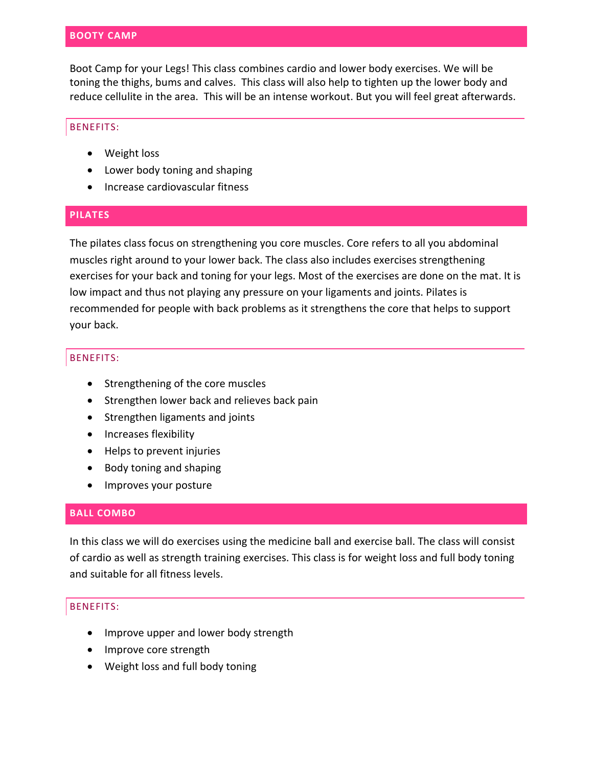## **BOOTY CAMP**

Boot Camp for your Legs! This class combines cardio and lower body exercises. We will be toning the thighs, bums and calves. This class will also help to tighten up the lower body and reduce cellulite in the area. This will be an intense workout. But you will feel great afterwards.

## BENEFITS:

- Weight loss
- Lower body toning and shaping
- Increase cardiovascular fitness

# **PILATES**

The pilates class focus on strengthening you core muscles. Core refers to all you abdominal muscles right around to your lower back. The class also includes exercises strengthening exercises for your back and toning for your legs. Most of the exercises are done on the mat. It is low impact and thus not playing any pressure on your ligaments and joints. Pilates is recommended for people with back problems as it strengthens the core that helps to support your back.

#### BENEFITS:

- Strengthening of the core muscles
- Strengthen lower back and relieves back pain
- Strengthen ligaments and joints
- Increases flexibility
- Helps to prevent injuries
- Body toning and shaping
- Improves your posture

# **BALL COMBO**

In this class we will do exercises using the medicine ball and exercise ball. The class will consist of cardio as well as strength training exercises. This class is for weight loss and full body toning and suitable for all fitness levels.

- Improve upper and lower body strength
- Improve core strength
- Weight loss and full body toning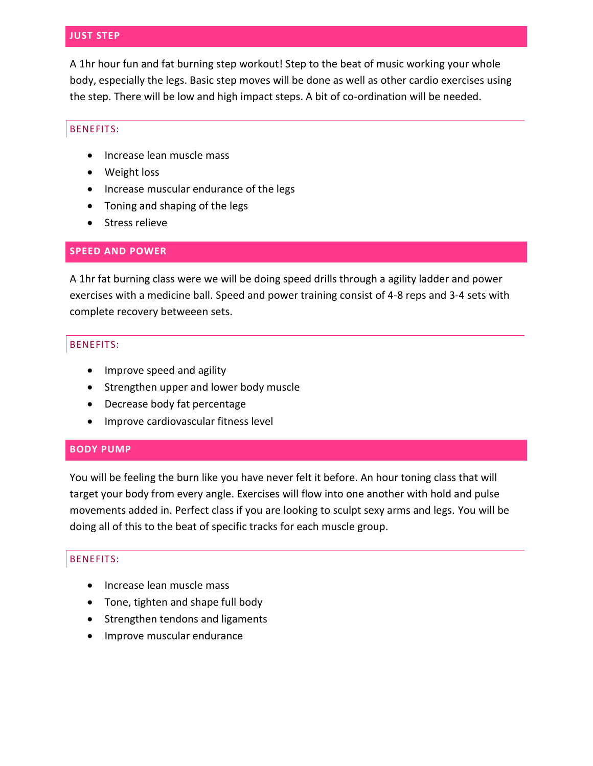# **JUST STEP**

A 1hr hour fun and fat burning step workout! Step to the beat of music working your whole body, especially the legs. Basic step moves will be done as well as other cardio exercises using the step. There will be low and high impact steps. A bit of co-ordination will be needed.

## BENEFITS:

- Increase lean muscle mass
- Weight loss
- Increase muscular endurance of the legs
- Toning and shaping of the legs
- Stress relieve

# **SPEED AND POWER**

A 1hr fat burning class were we will be doing speed drills through a agility ladder and power exercises with a medicine ball. Speed and power training consist of 4-8 reps and 3-4 sets with complete recovery betweeen sets.

#### BENEFITS:

- Improve speed and agility
- Strengthen upper and lower body muscle
- Decrease body fat percentage
- Improve cardiovascular fitness level

#### **BODY PUMP**

You will be feeling the burn like you have never felt it before. An hour toning class that will target your body from every angle. Exercises will flow into one another with hold and pulse movements added in. Perfect class if you are looking to sculpt sexy arms and legs. You will be doing all of this to the beat of specific tracks for each muscle group.

- Increase lean muscle mass
- Tone, tighten and shape full body
- Strengthen tendons and ligaments
- Improve muscular endurance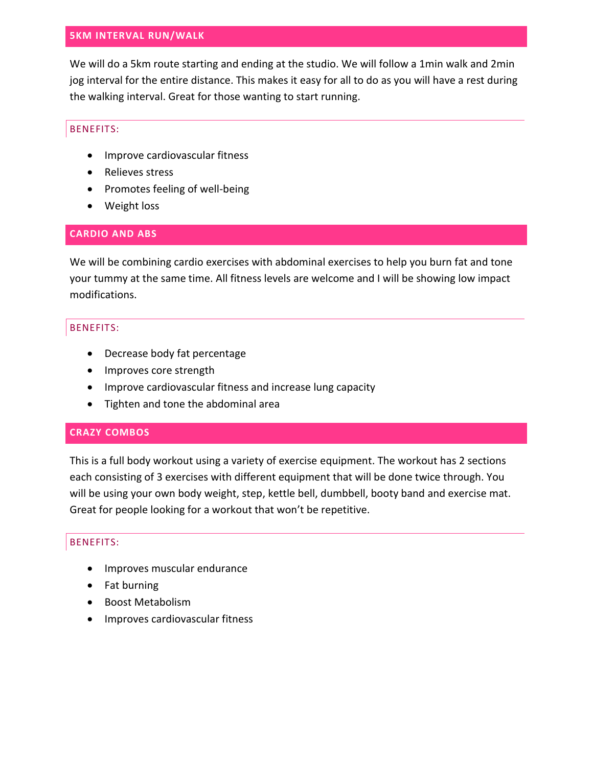## **5KM INTERVAL RUN/WALK**

We will do a 5km route starting and ending at the studio. We will follow a 1min walk and 2min jog interval for the entire distance. This makes it easy for all to do as you will have a rest during the walking interval. Great for those wanting to start running.

# BENEFITS:

- Improve cardiovascular fitness
- Relieves stress
- Promotes feeling of well-being
- Weight loss

# **CARDIO AND ABS**

We will be combining cardio exercises with abdominal exercises to help you burn fat and tone your tummy at the same time. All fitness levels are welcome and I will be showing low impact modifications.

# BENEFITS:

- Decrease body fat percentage
- Improves core strength
- Improve cardiovascular fitness and increase lung capacity
- Tighten and tone the abdominal area

# **CRAZY COMBOS**

This is a full body workout using a variety of exercise equipment. The workout has 2 sections each consisting of 3 exercises with different equipment that will be done twice through. You will be using your own body weight, step, kettle bell, dumbbell, booty band and exercise mat. Great for people looking for a workout that won't be repetitive.

- Improves muscular endurance
- Fat burning
- Boost Metabolism
- Improves cardiovascular fitness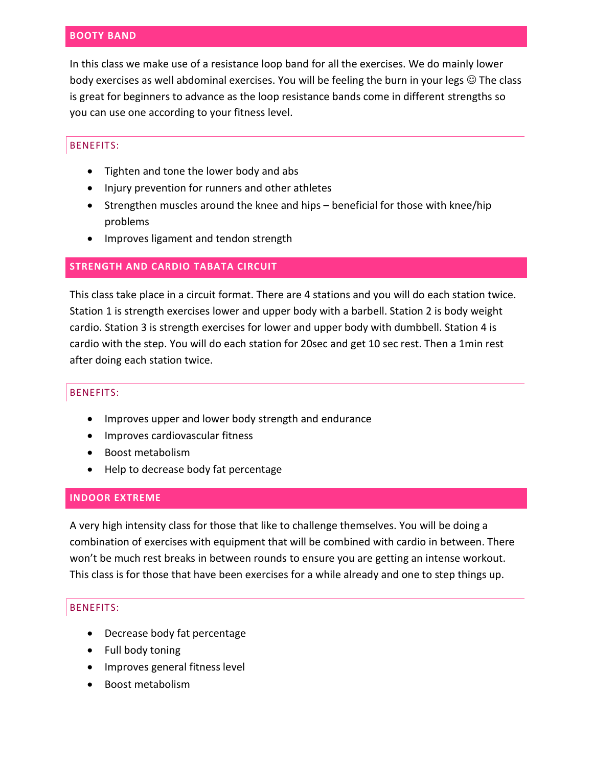# **BOOTY BAND**

In this class we make use of a resistance loop band for all the exercises. We do mainly lower body exercises as well abdominal exercises. You will be feeling the burn in your legs  $\circledcirc$  The class is great for beginners to advance as the loop resistance bands come in different strengths so you can use one according to your fitness level.

#### BENEFITS:

- Tighten and tone the lower body and abs
- Injury prevention for runners and other athletes
- Strengthen muscles around the knee and hips beneficial for those with knee/hip problems
- Improves ligament and tendon strength

# **STRENGTH AND CARDIO TABATA CIRCUIT**

This class take place in a circuit format. There are 4 stations and you will do each station twice. Station 1 is strength exercises lower and upper body with a barbell. Station 2 is body weight cardio. Station 3 is strength exercises for lower and upper body with dumbbell. Station 4 is cardio with the step. You will do each station for 20sec and get 10 sec rest. Then a 1min rest after doing each station twice.

#### BENEFITS:

- Improves upper and lower body strength and endurance
- Improves cardiovascular fitness
- Boost metabolism
- Help to decrease body fat percentage

#### **INDOOR EXTREME**

A very high intensity class for those that like to challenge themselves. You will be doing a combination of exercises with equipment that will be combined with cardio in between. There won't be much rest breaks in between rounds to ensure you are getting an intense workout. This class is for those that have been exercises for a while already and one to step things up.

- Decrease body fat percentage
- Full body toning
- Improves general fitness level
- Boost metabolism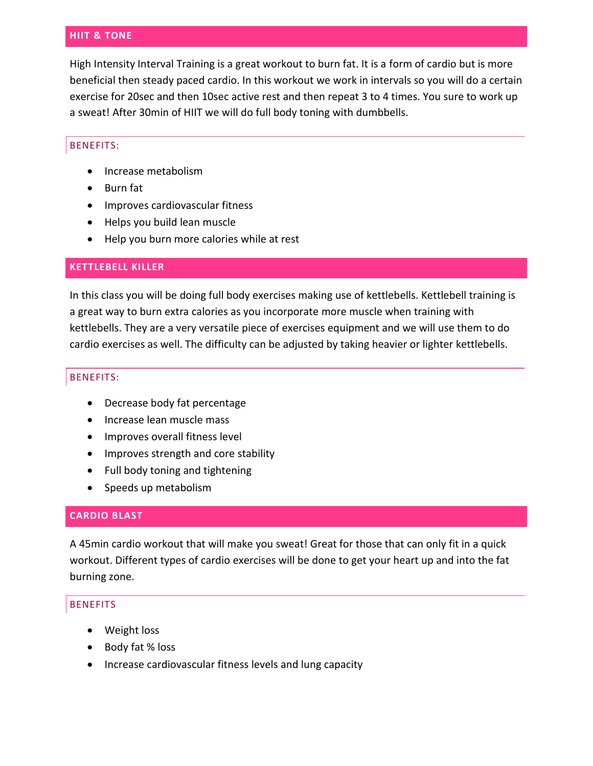## **HIIT & TONE**

High Intensity Interval Training is a great workout to burn fat. It is a form of cardio but is more beneficial then steady paced cardio. In this workout we work in intervals so you will do a certain exercise for 20sec and then 10sec active rest and then repeat 3 to 4 times. You sure to work up a sweat! After 30min of HIIT we will do full body toning with dumbbells.

## BENEFITS:

- Increase metabolism
- Burn fat
- Improves cardiovascular fitness
- Helps you build lean muscle
- Help you burn more calories while at rest

# **KETTLEBELL KILLER**

In this class you will be doing full body exercises making use of kettlebells. Kettlebell training is a great way to burn extra calories as you incorporate more muscle when training with kettlebells. They are a very versatile piece of exercises equipment and we will use them to do cardio exercises as well. The difficulty can be adjusted by taking heavier or lighter kettlebells.

## BENEFITS:

- Decrease body fat percentage
- Increase lean muscle mass
- Improves overall fitness level
- Improves strength and core stability
- Full body toning and tightening
- Speeds up metabolism

# **CARDIO BLAST**

A 45min cardio workout that will make you sweat! Great for those that can only fit in a quick workout. Different types of cardio exercises will be done to get your heart up and into the fat burning zone.

- Weight loss
- Body fat % loss
- Increase cardiovascular fitness levels and lung capacity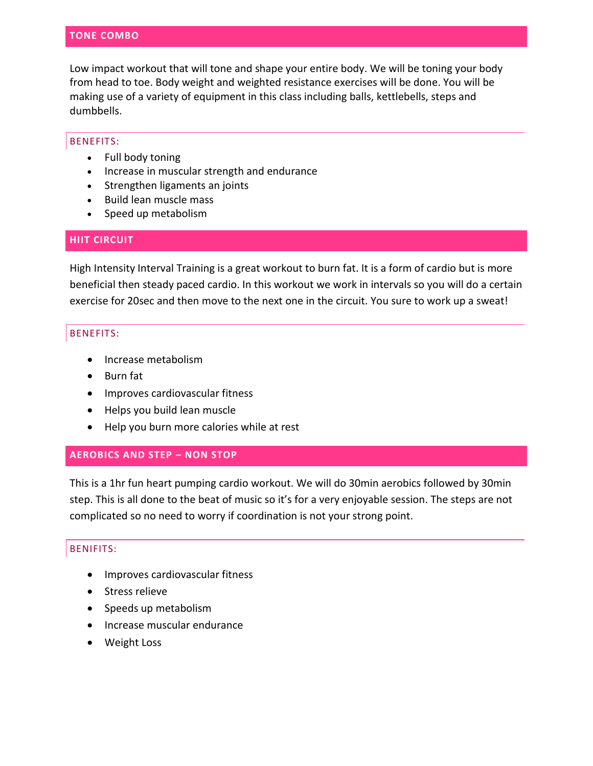Low impact workout that will tone and shape your entire body. We will be toning your body from head to toe. Body weight and weighted resistance exercises will be done. You will be making use of a variety of equipment in this class including balls, kettlebells, steps and dumbbells.

#### BENEFITS:

- Full body toning
- Increase in muscular strength and endurance
- Strengthen ligaments an joints
- Build lean muscle mass
- Speed up metabolism

# **HIIT CIRCUIT**

High Intensity Interval Training is a great workout to burn fat. It is a form of cardio but is more beneficial then steady paced cardio. In this workout we work in intervals so you will do a certain exercise for 20sec and then move to the next one in the circuit. You sure to work up a sweat!

# BENEFITS:

- Increase metabolism
- Burn fat
- Improves cardiovascular fitness
- Helps you build lean muscle
- Help you burn more calories while at rest

# **AEROBICS AND STEP – NON STOP**

This is a 1hr fun heart pumping cardio workout. We will do 30min aerobics followed by 30min step. This is all done to the beat of music so it's for a very enjoyable session. The steps are not complicated so no need to worry if coordination is not your strong point.

# BENIFITS:

- Improves cardiovascular fitness
- Stress relieve
- Speeds up metabolism
- Increase muscular endurance
- Weight Loss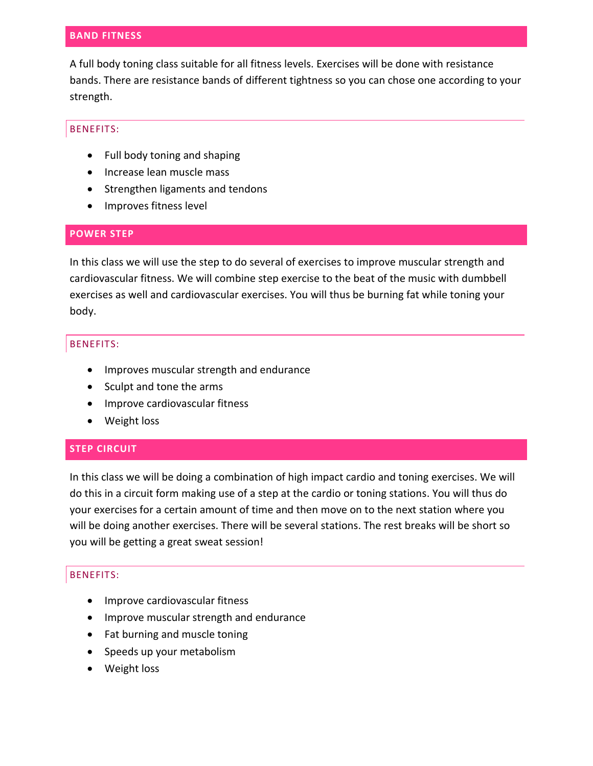# **BAND FITNESS**

A full body toning class suitable for all fitness levels. Exercises will be done with resistance bands. There are resistance bands of different tightness so you can chose one according to your strength.

# BENEFITS:

- Full body toning and shaping
- Increase lean muscle mass
- Strengthen ligaments and tendons
- Improves fitness level

# **POWER STEP**

In this class we will use the step to do several of exercises to improve muscular strength and cardiovascular fitness. We will combine step exercise to the beat of the music with dumbbell exercises as well and cardiovascular exercises. You will thus be burning fat while toning your body.

# BENEFITS:

- Improves muscular strength and endurance
- Sculpt and tone the arms
- Improve cardiovascular fitness
- Weight loss

# **STEP CIRCUIT**

In this class we will be doing a combination of high impact cardio and toning exercises. We will do this in a circuit form making use of a step at the cardio or toning stations. You will thus do your exercises for a certain amount of time and then move on to the next station where you will be doing another exercises. There will be several stations. The rest breaks will be short so you will be getting a great sweat session!

- Improve cardiovascular fitness
- Improve muscular strength and endurance
- Fat burning and muscle toning
- Speeds up your metabolism
- Weight loss